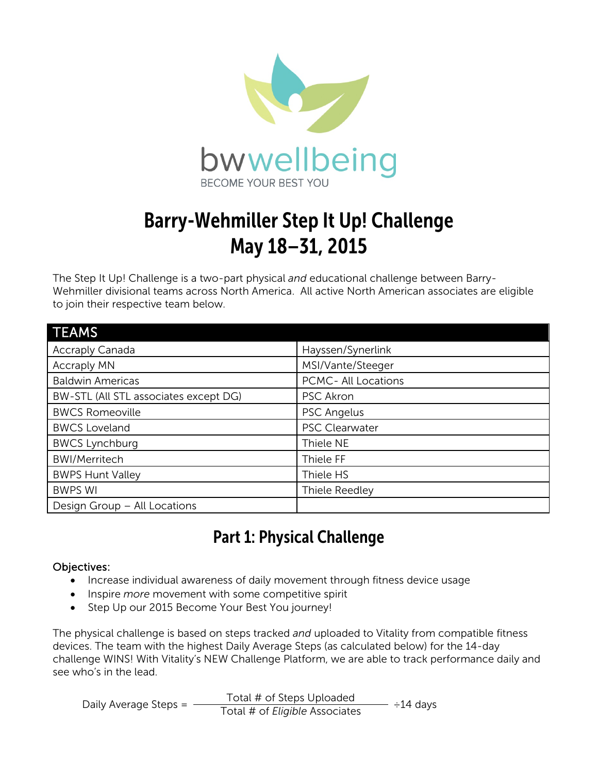

# Barry-Wehmiller Step It Up! Challenge May 18–31, 2015

The Step It Up! Challenge is a two-part physical *and* educational challenge between Barry-Wehmiller divisional teams across North America. All active North American associates are eligible to join their respective team below.

| <b>TEAMS</b>                          |                     |
|---------------------------------------|---------------------|
| <b>Accraply Canada</b>                | Hayssen/Synerlink   |
| <b>Accraply MN</b>                    | MSI/Vante/Steeger   |
| <b>Baldwin Americas</b>               | PCMC- All Locations |
| BW-STL (All STL associates except DG) | <b>PSC Akron</b>    |
| <b>BWCS Romeoville</b>                | <b>PSC Angelus</b>  |
| <b>BWCS Loveland</b>                  | PSC Clearwater      |
| <b>BWCS Lynchburg</b>                 | Thiele NE           |
| <b>BWI/Merritech</b>                  | Thiele FF           |
| <b>BWPS Hunt Valley</b>               | Thiele HS           |
| <b>BWPS WI</b>                        | Thiele Reedley      |
| Design Group - All Locations          |                     |

### Part 1: Physical Challenge

#### Objectives:

- Increase individual awareness of daily movement through fitness device usage
- Inspire *more* movement with some competitive spirit
- Step Up our 2015 Become Your Best You journey!

The physical challenge is based on steps tracked *and* uploaded to Vitality from compatible fitness devices. The team with the highest Daily Average Steps (as calculated below) for the 14-day challenge WINS! With Vitality's NEW Challenge Platform, we are able to track performance daily and see who's in the lead.

Daily Average Steps = Total # of Steps Uploaded  $\overline{\phantom{a}}$  ÷14 days Total # of *Eligible* Associates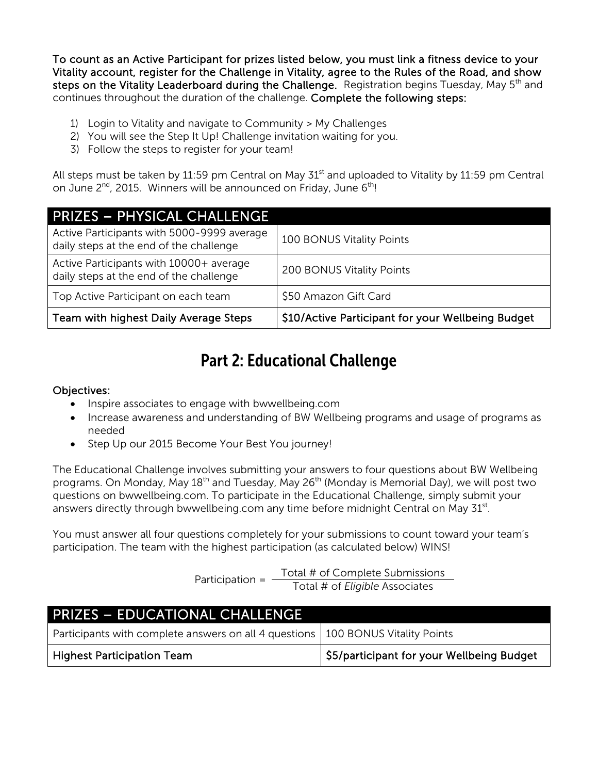To count as an Active Participant for prizes listed below, you must link a fitness device to your Vitality account, register for the Challenge in Vitality, agree to the Rules of the Road, and show steps on the Vitality Leaderboard during the Challenge. Registration begins Tuesday, May 5<sup>th</sup> and continues throughout the duration of the challenge. Complete the following steps:

- 1) Login to Vitality and navigate to Community > My Challenges
- 2) You will see the Step It Up! Challenge invitation waiting for you.
- 3) Follow the steps to register for your team!

All steps must be taken by 11:59 pm Central on May  $31<sup>st</sup>$  and uploaded to Vitality by 11:59 pm Central on June  $2^{nd}$ , 2015. Winners will be announced on Friday, June  $6^{th}$ !

| <b>PRIZES - PHYSICAL CHALLENGE</b>                                                    |                                                   |
|---------------------------------------------------------------------------------------|---------------------------------------------------|
| Active Participants with 5000-9999 average<br>daily steps at the end of the challenge | 100 BONUS Vitality Points                         |
| Active Participants with 10000+ average<br>daily steps at the end of the challenge    | 200 BONUS Vitality Points                         |
| Top Active Participant on each team                                                   | \$50 Amazon Gift Card                             |
| Team with highest Daily Average Steps                                                 | \$10/Active Participant for your Wellbeing Budget |

### Part 2: Educational Challenge

#### Objectives:

- Inspire associates to engage with bwwellbeing.com
- Increase awareness and understanding of BW Wellbeing programs and usage of programs as needed
- Step Up our 2015 Become Your Best You journey!

The Educational Challenge involves submitting your answers to four questions about BW Wellbeing programs. On Monday, May 18<sup>th</sup> and Tuesday, May 26<sup>th</sup> (Monday is Memorial Day), we will post two questions on bwwellbeing.com. To participate in the Educational Challenge, simply submit your answers directly through bwwellbeing.com any time before midnight Central on May  $31<sup>st</sup>$ .

You must answer all four questions completely for your submissions to count toward your team's participation. The team with the highest participation (as calculated below) WINS!

Participation = Total # of Complete Submissions Total # of *Eligible* Associates

| <b>PRIZES - EDUCATIONAL CHALLENGE</b>                                             |                                           |
|-----------------------------------------------------------------------------------|-------------------------------------------|
| Participants with complete answers on all 4 questions   100 BONUS Vitality Points |                                           |
| <b>Highest Participation Team</b>                                                 | \$5/participant for your Wellbeing Budget |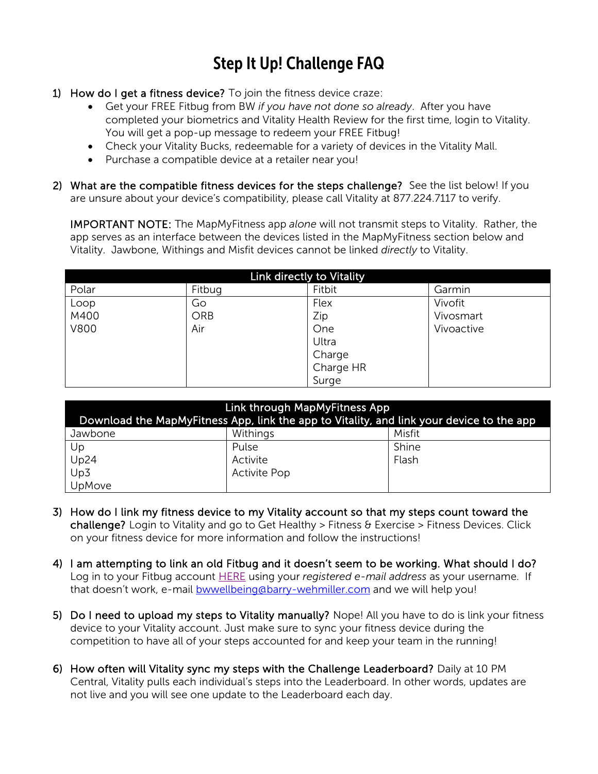## Step It Up! Challenge FAQ

- 1) How do I get a fitness device? To join the fitness device craze:
	- Get your FREE Fitbug from BW *if you have not done so already*. After you have completed your biometrics and Vitality Health Review for the first time, login to Vitality. You will get a pop-up message to redeem your FREE Fitbug!
	- Check your Vitality Bucks, redeemable for a variety of devices in the Vitality Mall.
	- Purchase a compatible device at a retailer near you!
- 2) What are the compatible fitness devices for the steps challenge? See the list below! If you are unsure about your device's compatibility, please call Vitality at 877.224.7117 to verify.

IMPORTANT NOTE: The MapMyFitness app *alone* will not transmit steps to Vitality. Rather, the app serves as an interface between the devices listed in the MapMyFitness section below and Vitality. Jawbone, Withings and Misfit devices cannot be linked *directly* to Vitality.

| Link directly to Vitality |        |           |            |  |  |
|---------------------------|--------|-----------|------------|--|--|
| Polar                     | Fitbug | Fitbit    | Garmin     |  |  |
| Loop                      | Go     | Flex      | Vivofit    |  |  |
| M400                      | ORB    | Zip       | Vivosmart  |  |  |
| V800                      | Air    | One       | Vivoactive |  |  |
|                           |        | Ultra     |            |  |  |
|                           |        | Charge    |            |  |  |
|                           |        | Charge HR |            |  |  |
|                           |        | Surge     |            |  |  |

| Link through MapMyFitness App<br>Download the MapMyFitness App, link the app to Vitality, and link your device to the app |                     |        |  |  |
|---------------------------------------------------------------------------------------------------------------------------|---------------------|--------|--|--|
| Jawbone                                                                                                                   | Withings            | Misfit |  |  |
| Up                                                                                                                        | Pulse               | Shine  |  |  |
| Up24                                                                                                                      | Activite            | Flash  |  |  |
| Up3                                                                                                                       | <b>Activite Pop</b> |        |  |  |
| <b>UpMove</b>                                                                                                             |                     |        |  |  |

- 3) How do I link my fitness device to my Vitality account so that my steps count toward the challenge? Login to Vitality and go to Get Healthy > Fitness & Exercise > Fitness Devices. Click on your fitness device for more information and follow the instructions!
- 4) I am attempting to link an old Fitbug and it doesn't seem to be working. What should I do? Log in to your Fitbug account [HERE](https://www.fitbug.com/g/v2/login.php) using your *registered e-mail address* as your username. If that doesn't work, e-mail **bwwellbeing@barry-wehmiller.com** and we will help you!
- 5) Do I need to upload my steps to Vitality manually? Nope! All you have to do is link your fitness device to your Vitality account. Just make sure to sync your fitness device during the competition to have all of your steps accounted for and keep your team in the running!
- 6) How often will Vitality sync my steps with the Challenge Leaderboard? Daily at 10 PM Central, Vitality pulls each individual's steps into the Leaderboard. In other words, updates are not live and you will see one update to the Leaderboard each day.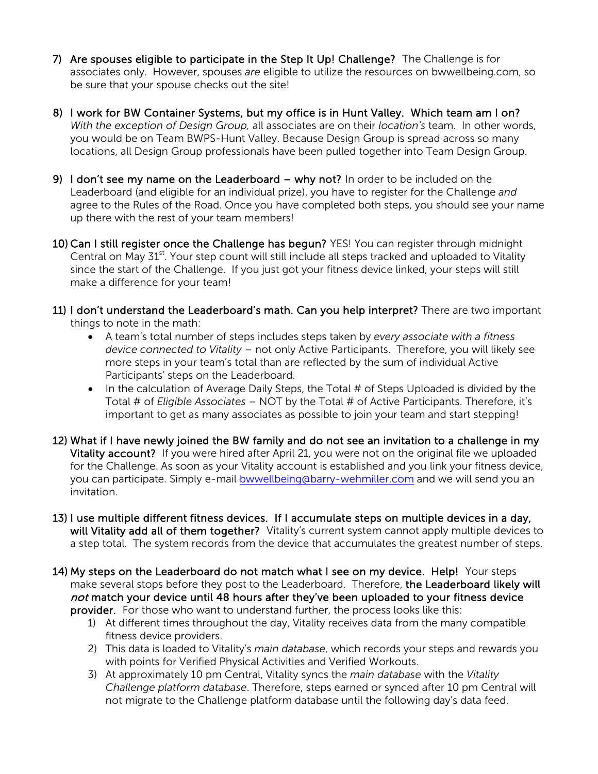- 7) Are spouses eligible to participate in the Step It Up! Challenge? The Challenge is for associates only. However, spouses *are* eligible to utilize the resources on bwwellbeing.com, so be sure that your spouse checks out the site!
- 8) I work for BW Container Systems, but my office is in Hunt Valley. Which team am I on? *With the exception of Design Group,* all associates are on their *location's* team. In other words, you would be on Team BWPS-Hunt Valley. Because Design Group is spread across so many locations, all Design Group professionals have been pulled together into Team Design Group.
- 9) I don't see my name on the Leaderboard why not? In order to be included on the Leaderboard (and eligible for an individual prize), you have to register for the Challenge *and*  agree to the Rules of the Road. Once you have completed both steps, you should see your name up there with the rest of your team members!
- 10) Can I still register once the Challenge has begun? YES! You can register through midnight Central on May  $31<sup>st</sup>$ . Your step count will still include all steps tracked and uploaded to Vitality since the start of the Challenge. If you just got your fitness device linked, your steps will still make a difference for your team!
- 11) I don't understand the Leaderboard's math. Can you help interpret? There are two important things to note in the math:
	- A team's total number of steps includes steps taken by *every associate with a fitness device connected to Vitality* – not only Active Participants. Therefore, you will likely see more steps in your team's total than are reflected by the sum of individual Active Participants' steps on the Leaderboard.
	- In the calculation of Average Daily Steps, the Total # of Steps Uploaded is divided by the Total # of *Eligible Associates* – NOT by the Total # of Active Participants. Therefore, it's important to get as many associates as possible to join your team and start stepping!
- 12) What if I have newly joined the BW family and do not see an invitation to a challenge in my Vitality account? If you were hired after April 21, you were not on the original file we uploaded for the Challenge. As soon as your Vitality account is established and you link your fitness device, you can participate. Simply e-mail [bwwellbeing@barry-wehmiller.com](mailto:bwwellbeing@barry-wehmiller.com) and we will send you an invitation.
- 13) I use multiple different fitness devices. If I accumulate steps on multiple devices in a day, will Vitality add all of them together? Vitality's current system cannot apply multiple devices to a step total. The system records from the device that accumulates the greatest number of steps.
- 14) My steps on the Leaderboard do not match what I see on my device. Help! Your steps make several stops before they post to the Leaderboard. Therefore, the Leaderboard likely will not match your device until 48 hours after they've been uploaded to your fitness device provider. For those who want to understand further, the process looks like this:
	- 1) At different times throughout the day, Vitality receives data from the many compatible fitness device providers.
	- 2) This data is loaded to Vitality's *main database*, which records your steps and rewards you with points for Verified Physical Activities and Verified Workouts.
	- 3) At approximately 10 pm Central, Vitality syncs the *main database* with the *Vitality Challenge platform database*. Therefore, steps earned or synced after 10 pm Central will not migrate to the Challenge platform database until the following day's data feed.